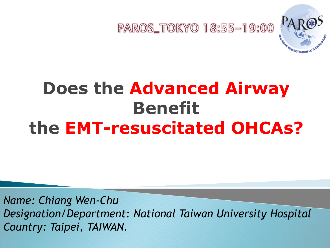

### **Does the Advanced Airway Benefit the EMT-resuscitated OHCAs?**

*Name: Chiang Wen-Chu Designation/Department: National Taiwan University Hospital Country: Taipei, TAIWAN.*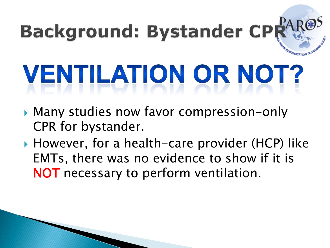# **Background: Bystander CPI** VENTILATION OR NOT?

- Many studies now favor compression-only CPR for bystander.
- ▶ However, for a health-care provider (HCP) like EMTs, there was no evidence to show if it is NOT necessary to perform ventilation.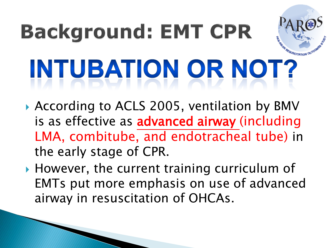## **Background: EMT CPR** INTUBATION OR NOT?

- According to ACLS 2005, ventilation by BMV is as effective as advanced airway (including LMA, combitube, and endotracheal tube) in the early stage of CPR.
- ▶ However, the current training curriculum of EMTs put more emphasis on use of advanced airway in resuscitation of OHCAs.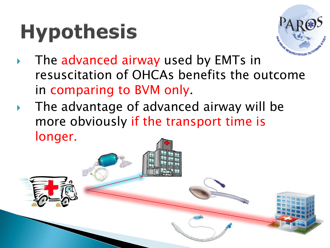## **Hypothesis**



- The advanced airway used by EMTs in resuscitation of OHCAs benefits the outcome in comparing to BVM only.
- The advantage of advanced airway will be more obviously if the transport time is longer.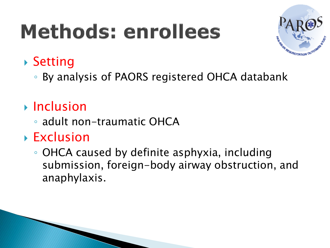## Methods: enrollees



#### ▶ Setting

◦ By analysis of PAORS registered OHCA databank

#### $\triangleright$  Inclusion

◦ adult non-traumatic OHCA

#### Exclusion

◦ OHCA caused by definite asphyxia, including submission, foreign-body airway obstruction, and anaphylaxis.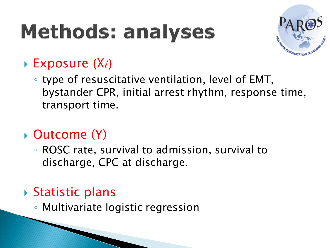## **Methods: analyses**



#### $\triangleright$  Exposure  $(X_i)$

◦ type of resuscitative ventilation, level of EMT, bystander CPR, initial arrest rhythm, response time, transport time.

#### ▶ Outcome (Y)

◦ ROSC rate, survival to admission, survival to discharge, CPC at discharge.

#### ▶ Statistic plans

◦ Multivariate logistic regression